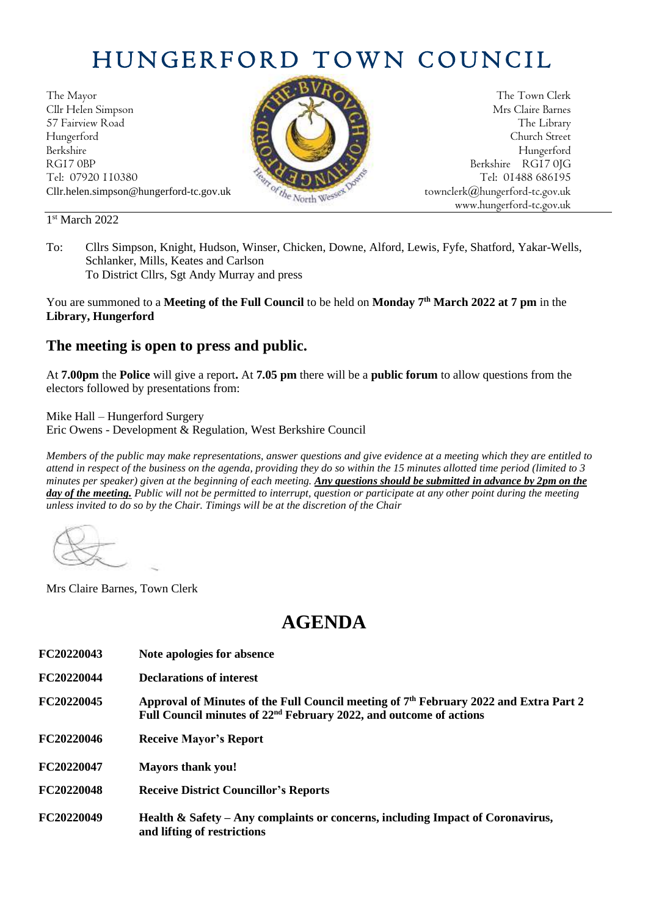## HUNGERFORD TOWN COUNCIL

The Mayor The Town Clerk Cllr Helen Simpson Mrs Claire Barnes 57 Fairview Road The Library (Contract of the Library of the Library of the Library Hungerford Church Street Berkshire Hungerford

1 st March 2022



To: Cllrs Simpson, Knight, Hudson, Winser, Chicken, Downe, Alford, Lewis, Fyfe, Shatford, Yakar-Wells, Schlanker, Mills, Keates and Carlson To District Cllrs, Sgt Andy Murray and press

You are summoned to a **Meeting of the Full Council** to be held on **Monday 7 th March 2022 at 7 pm** in the **Library, Hungerford**

## **The meeting is open to press and public.**

At **7.00pm** the **Police** will give a report**.** At **7.05 pm** there will be a **public forum** to allow questions from the electors followed by presentations from:

Mike Hall – Hungerford Surgery Eric Owens - Development & Regulation, West Berkshire Council

*Members of the public may make representations, answer questions and give evidence at a meeting which they are entitled to attend in respect of the business on the agenda, providing they do so within the 15 minutes allotted time period (limited to 3 minutes per speaker) given at the beginning of each meeting. Any questions should be submitted in advance by 2pm on the*  day of the meeting. Public will not be permitted to interrupt, question or participate at any other point during the meeting *unless invited to do so by the Chair. Timings will be at the discretion of the Chair*

Mrs Claire Barnes, Town Clerk

## **AGENDA**

- **FC20220043 Note apologies for absence**
- **FC20220044 Declarations of interest**

**FC20220045 Approval of Minutes of the Full Council meeting of 7 th February 2022 and Extra Part 2 Full Council minutes of 22nd February 2022, and outcome of actions**

- **FC20220046 Receive Mayor's Report**
- **FC20220047 Mayors thank you!**
- **FC20220048 Receive District Councillor's Reports**
- **FC20220049 Health & Safety – Any complaints or concerns, including Impact of Coronavirus, and lifting of restrictions**